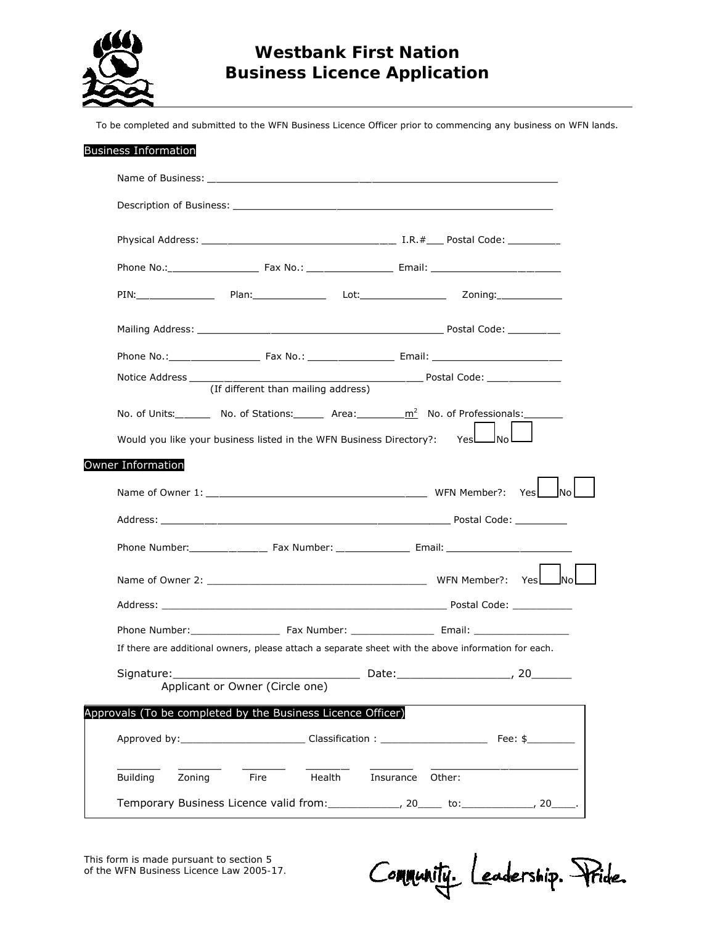

## **Westbank First Nation Business Licence Application**

To be completed and submitted to the WFN Business Licence Officer prior to commencing any business on WFN lands.

|                    | PIN: PIN: PLAN: Plan: Plan: Plan: Plan: Plan: Plan: Plan: Plan: Plan: Plan: Plan: Plan: Plan: Plan: Plan: Plan: Plan: Plan: Plan: Plan: Plan: Plan: Plan: Plan: Plan: Plan: Plan: Plan: Plan: Plan: Plan: Plan: Plan: Plan: Pl |           |          |  |
|--------------------|--------------------------------------------------------------------------------------------------------------------------------------------------------------------------------------------------------------------------------|-----------|----------|--|
|                    |                                                                                                                                                                                                                                |           |          |  |
|                    |                                                                                                                                                                                                                                |           |          |  |
|                    |                                                                                                                                                                                                                                |           |          |  |
|                    | (If different than mailing address)                                                                                                                                                                                            |           |          |  |
|                    | No. of Units: No. of Stations: $\frac{m^2}{m^2}$ No. of Professionals: No. of Professionals:                                                                                                                                   |           |          |  |
|                    | Would you like your business listed in the WFN Business Directory?: YesLANoL                                                                                                                                                   |           |          |  |
|                    |                                                                                                                                                                                                                                |           |          |  |
|                    |                                                                                                                                                                                                                                |           |          |  |
|                    |                                                                                                                                                                                                                                |           |          |  |
| Owner Information  |                                                                                                                                                                                                                                |           |          |  |
|                    |                                                                                                                                                                                                                                |           |          |  |
|                    |                                                                                                                                                                                                                                |           |          |  |
|                    |                                                                                                                                                                                                                                |           |          |  |
|                    |                                                                                                                                                                                                                                |           |          |  |
|                    | If there are additional owners, please attach a separate sheet with the above information for each.                                                                                                                            |           |          |  |
| Signature:         |                                                                                                                                                                                                                                |           |          |  |
|                    | Applicant or Owner (Circle one)                                                                                                                                                                                                |           | Date: 20 |  |
|                    | Approvals (To be completed by the Business Licence Officer)                                                                                                                                                                    |           |          |  |
|                    |                                                                                                                                                                                                                                |           |          |  |
| Zoning<br>Building | Health<br>Fire                                                                                                                                                                                                                 | Insurance | Other:   |  |

This form is made pursuant to section 5 of the *WFN Business Licence Law 2005-17.*

Community. Leadership. Pride.